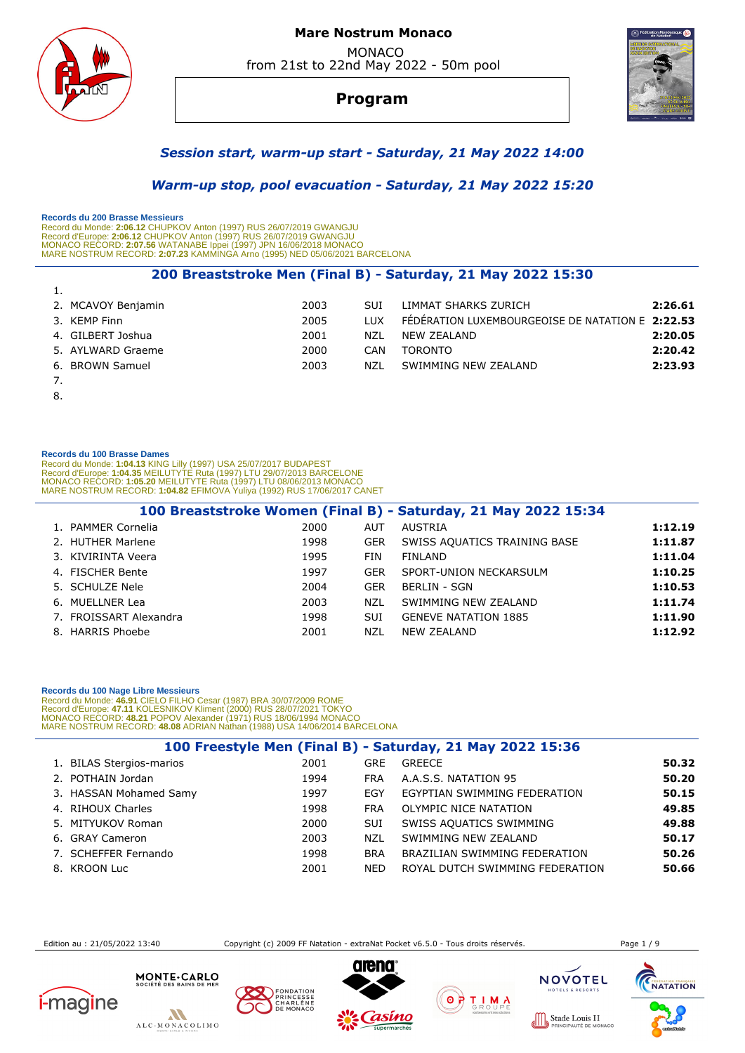

# **Mare Nostrum Monaco**  MONACO

from 21st to 22nd May 2022 - 50m pool

# **Program**



### *Session start, warm-up start - Saturday, 21 May 2022 14:00*

# *Warm-up stop, pool evacuation - Saturday, 21 May 2022 15:20*

 **Records du 200 Brasse Messieurs** 

Record du Monde: **2:06.12** CHUPKOV Anton (1997) RUS 26/07/2019 GWANGJU<br>Record d'Europe: 2**:06.12** CHUPKOV Anton (1997) RUS 26/07/2019 GWANGJU<br>MONACO RECORD: **2:07.56** WATANABE Ippei (1997) JPN 16/06/2018 MONACO<br>MARE NOSTRU

### **200 Breaststroke Men (Final B) - Saturday, 21 May 2022 15:30**

| . . |                    |      |      |                                                  |         |
|-----|--------------------|------|------|--------------------------------------------------|---------|
|     | 2. MCAVOY Benjamin | 2003 | SUL. | LIMMAT SHARKS ZURICH                             | 2:26.61 |
|     | 3. KEMP Finn       | 2005 | LUX  | FÉDÉRATION LUXEMBOURGEOISE DE NATATION E 2:22.53 |         |
|     | 4. GILBERT Joshua  | 2001 | NZL  | NEW ZEALAND                                      | 2:20.05 |
|     | 5. AYLWARD Graeme  | 2000 | CAN  | <b>TORONTO</b>                                   | 2:20.42 |
|     | 6. BROWN Samuel    | 2003 | NZL  | SWIMMING NEW ZEALAND                             | 2:23.93 |
|     |                    |      |      |                                                  |         |

8.

1.

#### **Records du 100 Brasse Dames**

Record du Monde: 1**:04.13** KING Lilly (1997) USA 25/07/2017 BUDAPEST<br>Record d'Europe: 1:**04.35 MEILUTYTE Ruta (1997) LTU 29/07/2013 BARCELONE**<br>MONACO RECORD: 1:**05.20 MEILUTYTE Ruta (1997) LTU 08/06/2013 MONACO**<br>MARE NOSTR

|                        |      |            | 100 Breaststroke Women (Final B) - Saturday, 21 May 2022 15:34 |         |
|------------------------|------|------------|----------------------------------------------------------------|---------|
| 1. PAMMER Cornelia     | 2000 | <b>AUT</b> | AUSTRIA                                                        | 1:12.19 |
| 2. HUTHER Marlene      | 1998 | <b>GER</b> | SWISS AQUATICS TRAINING BASE                                   | 1:11.87 |
| 3. KIVIRINTA Veera     | 1995 | <b>FIN</b> | <b>FINLAND</b>                                                 | 1:11.04 |
| 4. FISCHER Bente       | 1997 | <b>GER</b> | SPORT-UNION NECKARSULM                                         | 1:10.25 |
| 5. SCHULZE Nele        | 2004 | <b>GER</b> | <b>BERLIN - SGN</b>                                            | 1:10.53 |
| 6. MUELLNER Lea        | 2003 | NZL        | SWIMMING NEW ZEALAND                                           | 1:11.74 |
| 7. FROISSART Alexandra | 1998 | <b>SUI</b> | <b>GENEVE NATATION 1885</b>                                    | 1:11.90 |
| 8. HARRIS Phoebe       | 2001 | <b>NZL</b> | <b>NEW ZEALAND</b>                                             | 1:12.92 |

#### **Records du 100 Nage Libre Messieurs**

Record du Monde: 46.91 CIELO FILHO Cesar (1987) BRA 30/07/2009 ROME<br>Record d'Europe: 47.11 KOLESNIKOV Kliment (2000) RUS 28/07/2021 TOKYO<br>MONACO RECORD: 48.21 POPOV Alexander (1971) RUS 18/06/1994 MONACO<br>MARE NOSTRUM RECOR

|                          |      |            | 100 Freestyle Men (Final B) - Saturday, 21 May 2022 15:36 |       |
|--------------------------|------|------------|-----------------------------------------------------------|-------|
| 1. BILAS Stergios-marios | 2001 | <b>GRE</b> | <b>GREECE</b>                                             | 50.32 |
| 2. POTHAIN Jordan        | 1994 | <b>FRA</b> | A.A.S.S. NATATION 95                                      | 50.20 |
| 3. HASSAN Mohamed Samy   | 1997 | EGY        | EGYPTIAN SWIMMING FEDERATION                              | 50.15 |
| 4. RIHOUX Charles        | 1998 | <b>FRA</b> | OLYMPIC NICE NATATION                                     | 49.85 |
| 5. MITYUKOV Roman        | 2000 | <b>SUI</b> | SWISS AQUATICS SWIMMING                                   | 49.88 |
| 6. GRAY Cameron          | 2003 | NZL        | SWIMMING NEW ZEALAND                                      | 50.17 |
| 7. SCHEFFER Fernando     | 1998 | <b>BRA</b> | BRAZILIAN SWIMMING FEDERATION                             | 50.26 |
| 8. KROON Luc             | 2001 | <b>NED</b> | ROYAL DUTCH SWIMMING FEDERATION                           | 50.66 |

Edition au : 21/05/2022 13:40 Copyright (c) 2009 FF Natation - extraNat Pocket v6.5.0 - Tous droits réservés. Page 1 / 9

 $1000$ 











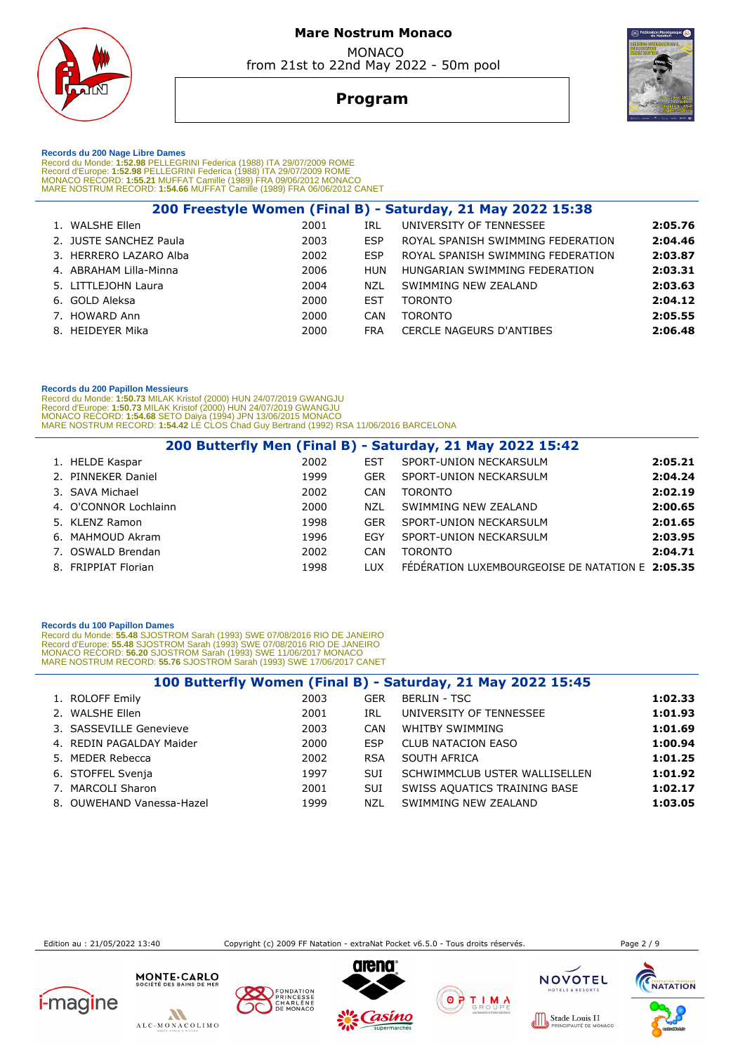

# **Program**



 **Records du 200 Nage Libre Dames** 

Record du Monde: 1**:52.98** PELLEGRINI Federica (1988) ITA 29/07/2009 ROME<br>Record d'Europe: 1**:52.98** PELLEGRINI Federica (1988) ITA 29/07/2009 ROME<br>MONACO RECORD: 1**:55.21 MUFFAT Camille (1989) FRA 09/06/2012 MONACO**<br>MARE

| 200 Freestyle Women (Final B) - Saturday, 21 May 2022 15:38 |      |            |                                   |         |  |  |  |  |
|-------------------------------------------------------------|------|------------|-----------------------------------|---------|--|--|--|--|
| 1. WALSHE Ellen                                             | 2001 | IRL        | UNIVERSITY OF TENNESSEE           | 2:05.76 |  |  |  |  |
| 2. JUSTE SANCHEZ Paula                                      | 2003 | <b>ESP</b> | ROYAL SPANISH SWIMMING FEDERATION | 2:04.46 |  |  |  |  |
| 3. HERRERO LAZARO Alba                                      | 2002 | ESP        | ROYAL SPANISH SWIMMING FEDERATION | 2:03.87 |  |  |  |  |
| 4. ABRAHAM Lilla-Minna                                      | 2006 | HUN        | HUNGARIAN SWIMMING FEDERATION     | 2:03.31 |  |  |  |  |
| 5. LITTLEJOHN Laura                                         | 2004 | NZL        | SWIMMING NEW ZEALAND              | 2:03.63 |  |  |  |  |
| 6. GOLD Aleksa                                              | 2000 | EST        | <b>TORONTO</b>                    | 2:04.12 |  |  |  |  |
| 7. HOWARD Ann                                               | 2000 | CAN        | <b>TORONTO</b>                    | 2:05.55 |  |  |  |  |
| 8. HEIDEYER Mika                                            | 2000 | <b>FRA</b> | <b>CERCLE NAGEURS D'ANTIBES</b>   | 2:06.48 |  |  |  |  |
|                                                             |      |            |                                   |         |  |  |  |  |

#### **Records du 200 Papillon Messieurs**

Record du Monde: 1**:50.73** MILAK Kristof (2000) HUN 24/07/2019 GWANGJU<br>Record d'Europe: 1**:50.73** MILAK Kristof (2000) HUN 24/07/2019 GWANGJU<br>MONACO RECORD: 1**:54.68** SETO Daiya (1994) JPN 13/06/2015 MONACO<br>MARE NOSTRUM RE

|                       |      |            | 200 Butterfly Men (Final B) - Saturday, 21 May 2022 15:42 |         |
|-----------------------|------|------------|-----------------------------------------------------------|---------|
| 1. HELDE Kaspar       | 2002 | <b>EST</b> | SPORT-UNION NECKARSULM                                    | 2:05.21 |
| 2. PINNEKER Daniel    | 1999 | <b>GER</b> | SPORT-UNION NECKARSULM                                    | 2:04.24 |
| 3. SAVA Michael       | 2002 | CAN        | <b>TORONTO</b>                                            | 2:02.19 |
| 4. O'CONNOR Lochlainn | 2000 | <b>NZL</b> | SWIMMING NEW ZEALAND                                      | 2:00.65 |
| 5. KLENZ Ramon        | 1998 | <b>GER</b> | SPORT-UNION NECKARSULM                                    | 2:01.65 |
| 6. MAHMOUD Akram      | 1996 | EGY        | SPORT-UNION NECKARSULM                                    | 2:03.95 |
| 7. OSWALD Brendan     | 2002 | CAN        | <b>TORONTO</b>                                            | 2:04.71 |
| 8. FRIPPIAT Florian   | 1998 | <b>LUX</b> | FÉDÉRATION LUXEMBOURGEOISE DE NATATION E 2:05.35          |         |

#### **Records du 100 Papillon Dames**

Record du Monde: 55.48 SJOSTROM Sarah (1993) SWE 07/08/2016 RIO DE JANEIRO<br>Record d'Europe: 55.48 SJOSTROM Sarah (1993) SWE 07/08/2016 RIO DE JANEIRO<br>MONACO RECORD: 56.20 SJOSTROM Sarah (1993) SWE 11/06/2017 MONACO<br>MARE NO

| 100 Butterfly Women (Final B) - Saturday, 21 May 2022 15:45 |      |            |                               |         |  |  |  |  |
|-------------------------------------------------------------|------|------------|-------------------------------|---------|--|--|--|--|
| 1. ROLOFF Emily                                             | 2003 | <b>GER</b> | <b>BERLIN - TSC</b>           | 1:02.33 |  |  |  |  |
| 2. WALSHE Ellen                                             | 2001 | IRL        | UNIVERSITY OF TENNESSEE       | 1:01.93 |  |  |  |  |
| 3. SASSEVILLE Genevieve                                     | 2003 | CAN        | <b>WHITBY SWIMMING</b>        | 1:01.69 |  |  |  |  |
| 4. REDIN PAGALDAY Maider                                    | 2000 | <b>ESP</b> | <b>CLUB NATACION EASO</b>     | 1:00.94 |  |  |  |  |
| 5. MEDER Rebecca                                            | 2002 | <b>RSA</b> | SOUTH AFRICA                  | 1:01.25 |  |  |  |  |
| 6. STOFFEL Svenja                                           | 1997 | <b>SUI</b> | SCHWIMMCLUB USTER WALLISELLEN | 1:01.92 |  |  |  |  |
| 7. MARCOLI Sharon                                           | 2001 | <b>SUI</b> | SWISS AQUATICS TRAINING BASE  | 1:02.17 |  |  |  |  |
| 8. OUWEHAND Vanessa-Hazel                                   | 1999 | NZL        | SWIMMING NEW ZEALAND          | 1:03.05 |  |  |  |  |

Edition au : 21/05/2022 13:40 Copyright (c) 2009 FF Natation - extraNat Pocket v6.5.0 - Tous droits réservés. Page 2 / 9

**ILS 11**<br>DE MONACC











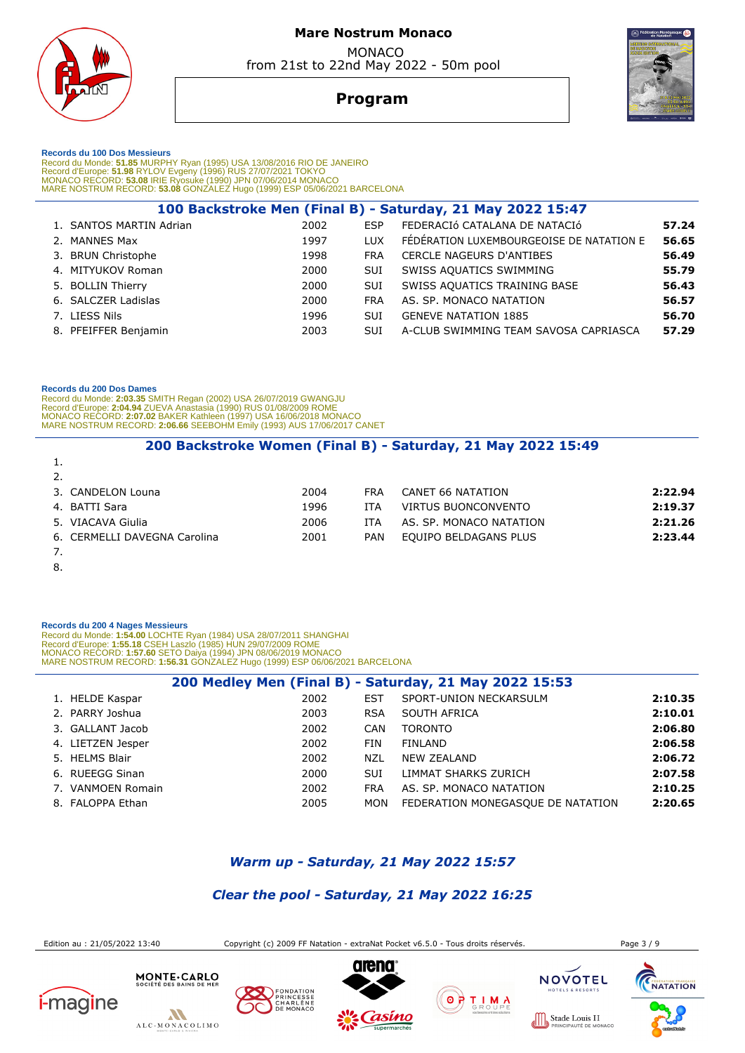

# **Program**



 **Records du 100 Dos Messieurs** 

Record du Monde: **51.85** MURPHY Ryan (1995) USA 13/08/2016 RIO DE JANEIRO<br>Record d'Europe: **51.98** RYLOV Evgeny (1996) RUS 27/07/2021 TOKYO<br>MONACO RECORD: **53.08** IRIE Ryosuke (1990) JPN 07/06/2014 MONACO<br>MARE NOSTRUM RECO

| 100 Backstroke Men (Final B) - Saturday, 21 May 2022 15:47 |      |            |                                          |       |  |  |  |
|------------------------------------------------------------|------|------------|------------------------------------------|-------|--|--|--|
| 1. SANTOS MARTIN Adrian                                    | 2002 | <b>ESP</b> | FEDERACIÓ CATALANA DE NATACIÓ            | 57.24 |  |  |  |
| 2. MANNES Max                                              | 1997 | <b>LUX</b> | FÉDÉRATION LUXEMBOURGEOISE DE NATATION E | 56.65 |  |  |  |
| 3. BRUN Christophe                                         | 1998 | <b>FRA</b> | <b>CERCLE NAGEURS D'ANTIBES</b>          | 56.49 |  |  |  |
| 4. MITYUKOV Roman                                          | 2000 | SUI        | SWISS AQUATICS SWIMMING                  | 55.79 |  |  |  |
| 5. BOLLIN Thierry                                          | 2000 | SUI        | SWISS AQUATICS TRAINING BASE             | 56.43 |  |  |  |
| 6. SALCZER Ladislas                                        | 2000 | <b>FRA</b> | AS. SP. MONACO NATATION                  | 56.57 |  |  |  |
| 7. LIESS Nils                                              | 1996 | <b>SUI</b> | <b>GENEVE NATATION 1885</b>              | 56.70 |  |  |  |
| 8. PFEIFFER Benjamin                                       | 2003 | <b>SUI</b> | A-CLUB SWIMMING TEAM SAVOSA CAPRIASCA    | 57.29 |  |  |  |
|                                                            |      |            |                                          |       |  |  |  |

 **Records du 200 Dos Dames** 

 Record du Monde: **2:03.35** SMITH Regan (2002) USA 26/07/2019 GWANGJU Record d'Europe: **2:04.94** ZUEVA Anastasia (1990) RUS 01/08/2009 ROME MONACO RECORD: **2:07.02** BAKER Kathleen (1997) USA 16/06/2018 MONACO MARE NOSTRUM RECORD: **2:06.66** SEEBOHM Emily (1993) AUS 17/06/2017 CANET

### **200 Backstroke Women (Final B) - Saturday, 21 May 2022 15:49**

|    | 3. CANDELON Louna            | 2004 | FRA        | CANET 66 NATATION       | 2:22.94 |
|----|------------------------------|------|------------|-------------------------|---------|
|    | 4. BATTI Sara                | 1996 | ITA        | VIRTUS BUONCONVENTO     | 2:19.37 |
|    | 5. VIACAVA Giulia            | 2006 | <b>ITA</b> | AS. SP. MONACO NATATION | 2:21.26 |
|    | 6. CERMELLI DAVEGNA Carolina | 2001 | <b>PAN</b> | EQUIPO BELDAGANS PLUS   | 2:23.44 |
| 7. |                              |      |            |                         |         |

8.

### **Records du 200 4 Nages Messieurs**

Record du Monde: **1:54.00** LOCHTE Ryan (1984) USA 28/07/2011 SHANGHAI<br>Record d'Europe: **1:55.18** CSEH Laszlo (1985) HUN 29/07/2009 ROME<br>MONACO RECORD: 1**:57.60 SETO Daiya (1994) JPN 08/06/2019 MONACO<br>MARE NOSTRUM RECORD: 1** 

| 200 Medley Men (Final B) - Saturday, 21 May 2022 15:53 |                   |      |            |                                   |         |  |  |
|--------------------------------------------------------|-------------------|------|------------|-----------------------------------|---------|--|--|
|                                                        | 1. HELDE Kaspar   | 2002 | <b>EST</b> | SPORT-UNION NECKARSULM            | 2:10.35 |  |  |
|                                                        | 2. PARRY Joshua   | 2003 | <b>RSA</b> | SOUTH AFRICA                      | 2:10.01 |  |  |
|                                                        | 3. GALLANT Jacob  | 2002 | CAN        | <b>TORONTO</b>                    | 2:06.80 |  |  |
|                                                        | 4. LIETZEN Jesper | 2002 | <b>FIN</b> | <b>FINLAND</b>                    | 2:06.58 |  |  |
|                                                        | 5. HELMS Blair    | 2002 | <b>NZL</b> | <b>NEW ZEALAND</b>                | 2:06.72 |  |  |
|                                                        | 6. RUEEGG Sinan   | 2000 | <b>SUI</b> | LIMMAT SHARKS ZURICH              | 2:07.58 |  |  |
|                                                        | 7. VANMOEN Romain | 2002 | <b>FRA</b> | AS. SP. MONACO NATATION           | 2:10.25 |  |  |
|                                                        | 8. FALOPPA Ethan  | 2005 | MON        | FEDERATION MONEGASQUE DE NATATION | 2:20.65 |  |  |

# *Warm up - Saturday, 21 May 2022 15:57*

# *Clear the pool - Saturday, 21 May 2022 16:25*

 Edition au : 21/05/2022 13:40 Copyright (c) 2009 FF Natation - extraNat Pocket v6.5.0 - Tous droits réservés. Page 3 / 9 MONTE.CARLO **NOVOTEL** NATATION **PONDATION** *i-magine*  $\circ$   $\forall$ T I M A CHARLÈNE









 $1000$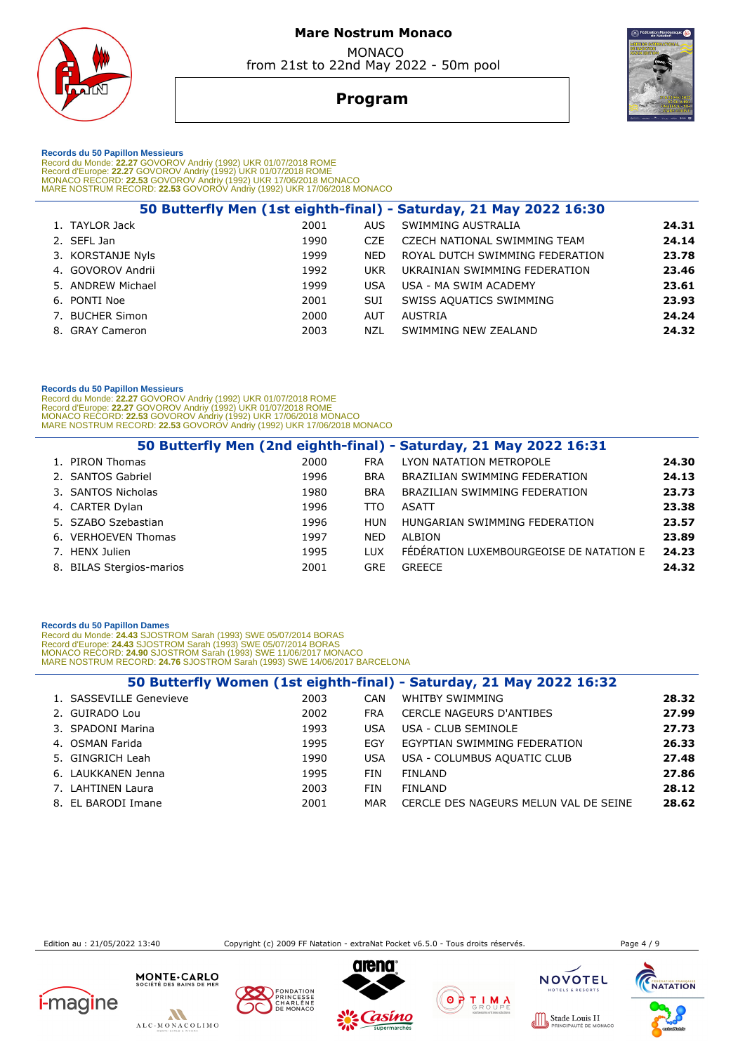

# **Program**



 **Records du 50 Papillon Messieurs** 

Record du Monde: 22.27 GOVOROV Andriy (1992) UKR 01/07/2018 ROME<br>Record d'Europe: 22.27 GOVOROV Andriy (1992) UKR 01/07/2018 ROME<br>MONACO RECORD: 22.53 GOVOROV Andriy (1992) UKR 17/06/2018 MONACO<br>MARE NOSTRUM RECORD: 22.53

|                   |      |            | 50 Butterfly Men (1st eighth-final) - Saturday, 21 May 2022 16:30 |       |
|-------------------|------|------------|-------------------------------------------------------------------|-------|
| 1. TAYLOR Jack    | 2001 | AUS.       | SWIMMING AUSTRALIA                                                | 24.31 |
| 2. SEFL Jan       | 1990 | CZE        | CZECH NATIONAL SWIMMING TEAM                                      | 24.14 |
| 3. KORSTANJE Nyls | 1999 | <b>NED</b> | ROYAL DUTCH SWIMMING FEDERATION                                   | 23.78 |
| 4. GOVOROV Andrii | 1992 | <b>UKR</b> | UKRAINIAN SWIMMING FEDERATION                                     | 23.46 |
| 5. ANDREW Michael | 1999 | <b>USA</b> | USA - MA SWIM ACADEMY                                             | 23.61 |
| 6. PONTI Noe      | 2001 | SUI        | SWISS AQUATICS SWIMMING                                           | 23.93 |
| 7. BUCHER Simon   | 2000 | <b>AUT</b> | AUSTRIA                                                           | 24.24 |
| 8. GRAY Cameron   | 2003 | NZL        | SWIMMING NEW ZEALAND                                              | 24.32 |
|                   |      |            |                                                                   |       |

#### **Records du 50 Papillon Messieurs**

Record du Monde: **22.27** GOVOROV Andriy (1992) UKR 01/07/2018 ROME<br>Record d'Europe: **22.27 G**OVOROV Andriy (1992) UKR 01/07/2018 ROME<br>MONACO RECORD: **22.53** GOVOROV Andriy (1992) UKR 17/06/2018 MONACO<br>MARE NOSTRUM RECORD:

|                          |      |            | 50 Butterfly Men (2nd eighth-final) - Saturday, 21 May 2022 16:31 |       |
|--------------------------|------|------------|-------------------------------------------------------------------|-------|
| 1. PIRON Thomas          | 2000 | <b>FRA</b> | LYON NATATION METROPOLE                                           | 24.30 |
| 2. SANTOS Gabriel        | 1996 | <b>BRA</b> | BRAZILIAN SWIMMING FEDERATION                                     | 24.13 |
| 3. SANTOS Nicholas       | 1980 | <b>BRA</b> | BRAZILIAN SWIMMING FEDERATION                                     | 23.73 |
| 4. CARTER Dylan          | 1996 | TTO        | <b>ASATT</b>                                                      | 23.38 |
| 5. SZABO Szebastian      | 1996 | HUN        | HUNGARIAN SWIMMING FEDERATION                                     | 23.57 |
| 6. VERHOEVEN Thomas      | 1997 | <b>NED</b> | ALBION                                                            | 23.89 |
| 7. HENX Julien           | 1995 | <b>LUX</b> | FÉDÉRATION LUXEMBOURGEOISE DE NATATION E                          | 24.23 |
| 8. BILAS Stergios-marios | 2001 | <b>GRE</b> | <b>GREECE</b>                                                     | 24.32 |

#### **Records du 50 Papillon Dames**

Record du Monde: **24.43** SJOSTROM Sarah (1993) SWE 05/07/2014 BORAS<br>Record d'Europe: 2**4.43** SJOSTROM Sarah (1993) SWE 05/07/2014 BORAS<br>MONACO RECORD: **24.90** SJOSTROM Sarah (1993) SWE 11/06/2017 MONACO<br>MARE NOSTRUM RECORD

|                         |      |            | 50 Butterfly Women (1st eighth-final) - Saturday, 21 May 2022 16:32 |       |
|-------------------------|------|------------|---------------------------------------------------------------------|-------|
| 1. SASSEVILLE Genevieve | 2003 | CAN        | WHITBY SWIMMING                                                     | 28.32 |
| 2. GUIRADO Lou          | 2002 | <b>FRA</b> | <b>CERCLE NAGEURS D'ANTIBES</b>                                     | 27.99 |
| 3. SPADONI Marina       | 1993 | <b>USA</b> | USA - CLUB SEMINOLE                                                 | 27.73 |
| 4. OSMAN Farida         | 1995 | EGY        | EGYPTIAN SWIMMING FEDERATION                                        | 26.33 |
| 5. GINGRICH Leah        | 1990 | <b>USA</b> | USA - COLUMBUS AQUATIC CLUB                                         | 27.48 |
| 6. LAUKKANEN Jenna      | 1995 | FIN        | <b>FINLAND</b>                                                      | 27.86 |
| 7. LAHTINEN Laura       | 2003 | FIN        | <b>FINLAND</b>                                                      | 28.12 |
| 8. EL BARODI Imane      | 2001 | MAR        | CERCLE DES NAGEURS MELUN VAL DE SEINE                               | 28.62 |

Edition au : 21/05/2022 13:40 Copyright (c) 2009 FF Natation - extraNat Pocket v6.5.0 - Tous droits réservés. Page 4 / 9











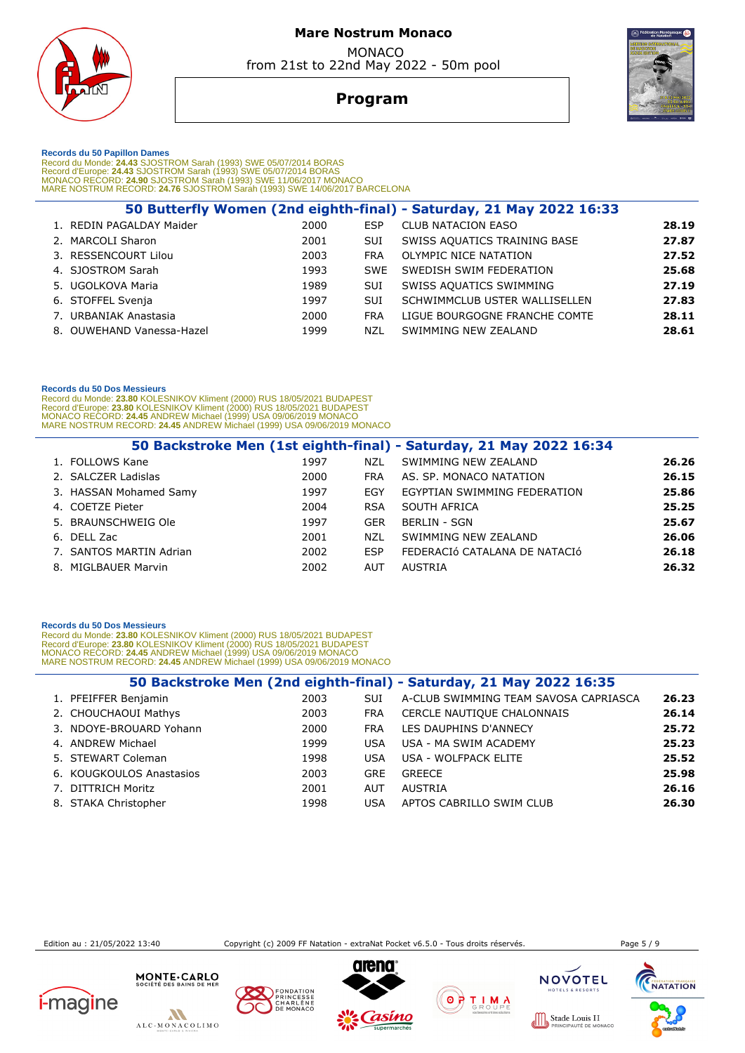

# **Program**



#### **Records du 50 Papillon Dames**

Record du Monde: 24.43 SJOSTROM Sarah (1993) SWE 05/07/2014 BORAS<br>Record d'Europe: 24.43 SJOSTROM Sarah (1993) SWE 05/07/2014 BORAS<br>MONACO RECORD: 24.90 SJOSTROM Sarah (1993) SWE 11/06/2017 MONACO<br>MARE NOSTRUM RECORD: 24.7

|                           |      |            | 50 Butterfly Women (2nd eighth-final) - Saturday, 21 May 2022 16:33 |       |
|---------------------------|------|------------|---------------------------------------------------------------------|-------|
| 1. REDIN PAGALDAY Maider  | 2000 | ESP        | <b>CLUB NATACION EASO</b>                                           | 28.19 |
| 2. MARCOLI Sharon         | 2001 | <b>SUI</b> | SWISS AQUATICS TRAINING BASE                                        | 27.87 |
| 3. RESSENCOURT Lilou      | 2003 | <b>FRA</b> | OLYMPIC NICE NATATION                                               | 27.52 |
| 4. SJOSTROM Sarah         | 1993 | SWE        | SWEDISH SWIM FEDERATION                                             | 25.68 |
| 5. UGOLKOVA Maria         | 1989 | <b>SUI</b> | SWISS AQUATICS SWIMMING                                             | 27.19 |
| 6. STOFFEL Svenja         | 1997 | <b>SUI</b> | SCHWIMMCLUB USTER WALLISELLEN                                       | 27.83 |
| 7. URBANIAK Anastasia     | 2000 | <b>FRA</b> | LIGUE BOURGOGNE FRANCHE COMTE                                       | 28.11 |
| 8. OUWEHAND Vanessa-Hazel | 1999 | NZL        | SWIMMING NEW ZEALAND                                                | 28.61 |
|                           |      |            |                                                                     |       |

#### **Records du 50 Dos Messieurs**

Record du Monde: 23.80 KOLESNIKOV Kliment (2000) RUS 18/05/2021 BUDAPEST<br>Record d'Europe: 23.80 KOLESNIKOV Kliment (2000) RUS 18/05/2021 BUDAPEST<br>MONACO RECORD: 24.45 ANDREW Michael (1999) USA 09/06/2019 MONACO<br>MARE NOSTRU

| 50 Backstroke Men (1st eighth-final) - Saturday, 21 May 2022 16:34 |      |            |                               |       |  |  |
|--------------------------------------------------------------------|------|------------|-------------------------------|-------|--|--|
| 1. FOLLOWS Kane                                                    | 1997 | <b>NZL</b> | SWIMMING NEW ZEALAND          | 26.26 |  |  |
| 2. SALCZER Ladislas                                                | 2000 | <b>FRA</b> | AS. SP. MONACO NATATION       | 26.15 |  |  |
| 3. HASSAN Mohamed Samy                                             | 1997 | EGY        | EGYPTIAN SWIMMING FEDERATION  | 25.86 |  |  |
| 4. COETZE Pieter                                                   | 2004 | <b>RSA</b> | SOUTH AFRICA                  | 25.25 |  |  |
| 5. BRAUNSCHWEIG Ole                                                | 1997 | <b>GER</b> | <b>BERLIN - SGN</b>           | 25.67 |  |  |
| 6. DELL Zac                                                        | 2001 | NZL        | SWIMMING NEW ZEALAND          | 26.06 |  |  |
| 7. SANTOS MARTIN Adrian                                            | 2002 | <b>ESP</b> | FEDERACIÓ CATALANA DE NATACIÓ | 26.18 |  |  |
| 8. MIGLBAUER Marvin                                                | 2002 | <b>AUT</b> | <b>AUSTRIA</b>                | 26.32 |  |  |

#### **Records du 50 Dos Messieurs**

Record du Monde: 23.80 KOLESNIKOV Kliment (2000) RUS 18/05/2021 BUDAPEST<br>Record d'Europe: 23.80 KOLESNIKOV Kliment (2000) RUS 18/05/2021 BUDAPEST<br>MONACO RECORD: 24.45 ANDREW Michael (1999) USA 09/06/2019 MONACO<br>MARE NOSTRU

| 50 Backstroke Men (2nd eighth-final) - Saturday, 21 May 2022 16:35 |      |            |                                       |       |  |  |  |
|--------------------------------------------------------------------|------|------------|---------------------------------------|-------|--|--|--|
| 1. PFEIFFER Benjamin                                               | 2003 | SUI        | A-CLUB SWIMMING TEAM SAVOSA CAPRIASCA | 26.23 |  |  |  |
| 2. CHOUCHAOUI Mathys                                               | 2003 | <b>FRA</b> | CERCLE NAUTIQUE CHALONNAIS            | 26.14 |  |  |  |
| 3. NDOYE-BROUARD Yohann                                            | 2000 | <b>FRA</b> | LES DAUPHINS D'ANNECY                 | 25.72 |  |  |  |
| 4. ANDREW Michael                                                  | 1999 | <b>USA</b> | USA - MA SWIM ACADEMY                 | 25.23 |  |  |  |
| 5. STEWART Coleman                                                 | 1998 | <b>USA</b> | USA - WOLFPACK ELITE                  | 25.52 |  |  |  |
| 6. KOUGKOULOS Anastasios                                           | 2003 | <b>GRE</b> | <b>GREECE</b>                         | 25.98 |  |  |  |
| 7. DITTRICH Moritz                                                 | 2001 | <b>AUT</b> | <b>AUSTRIA</b>                        | 26.16 |  |  |  |
| 8. STAKA Christopher                                               | 1998 | <b>USA</b> | APTOS CABRILLO SWIM CLUB              | 26.30 |  |  |  |
|                                                                    |      |            |                                       |       |  |  |  |



Edition au : 21/05/2022 13:40 Copyright (c) 2009 FF Natation - extraNat Pocket v6.5.0 - Tous droits réservés. Page 5 / 9

**NACC** 











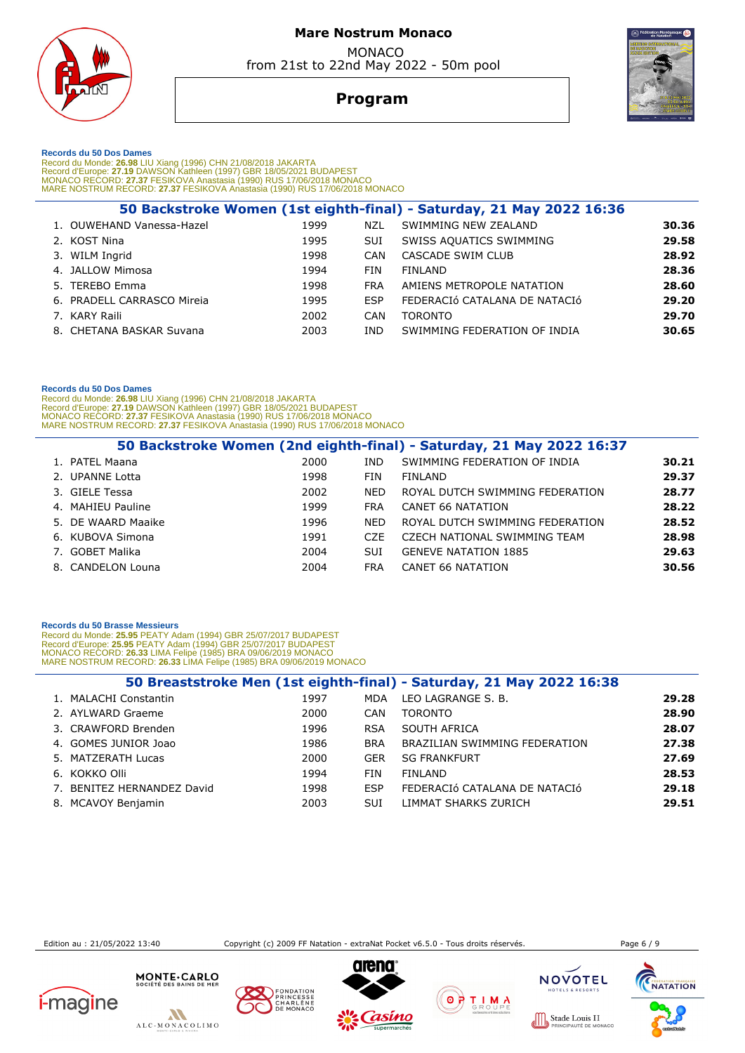

**Program**

 **Records du 50 Dos Dames** 

 $\Omega$ 

Record du Monde: 26.98 LIU Xiang (1996) CHN 21/08/2018 JAKARTA<br>Record d'Europe: 27.19 DAWSON Kathleen (1997) GBR 18/05/2021 BUDAPEST<br>MONACO RECORD: 27.37 FESIKOVA Anastasia (1990) RUS 17/06/2018 MONACO<br>MARE NOSTRUM RECORD:

| 50 Backstroke Women (1st eighth-final) - Saturday, 21 May 2022 16:36 |      |            |                               |       |  |  |
|----------------------------------------------------------------------|------|------------|-------------------------------|-------|--|--|
| 1. OUWEHAND Vanessa-Hazel                                            | 1999 | NZL        | SWIMMING NEW ZEALAND          | 30.36 |  |  |
| 2. KOST Nina                                                         | 1995 | <b>SUI</b> | SWISS AQUATICS SWIMMING       | 29.58 |  |  |
| 3. WILM Ingrid                                                       | 1998 | <b>CAN</b> | CASCADE SWIM CLUB             | 28.92 |  |  |
| 4. JALLOW Mimosa                                                     | 1994 | <b>FIN</b> | FINLAND                       | 28.36 |  |  |
| 5. TEREBO Emma                                                       | 1998 | <b>FRA</b> | AMIENS METROPOLE NATATION     | 28.60 |  |  |
| 6. PRADELL CARRASCO Mireia                                           | 1995 | <b>ESP</b> | FEDERACIÓ CATALANA DE NATACIÓ | 29.20 |  |  |
| 7. KARY Raili                                                        | 2002 | CAN        | <b>TORONTO</b>                | 29.70 |  |  |
| 8. CHETANA BASKAR Suvana                                             | 2003 | IND.       | SWIMMING FEDERATION OF INDIA  | 30.65 |  |  |

#### **Records du 50 Dos Dames**

Record du Monde: **26.98** LIU Xiang (1996) CHN 21/08/2018 JAKARTA<br>Record d'Europe: **27.19 DAWSON Kathleen (1997) GBR 18/05/2021 BUDAPEST<br>MONACO RECORD: <b>27.37** FESIKOVA Anastasia (1990) RUS 17/06/2018 MONACO<br>MARE NOSTRUM RE

| 50 Backstroke Women (2nd eighth-final) - Saturday, 21 May 2022 16:37 |      |            |                                 |       |  |  |
|----------------------------------------------------------------------|------|------------|---------------------------------|-------|--|--|
| 1. PATEL Maana                                                       | 2000 | IND.       | SWIMMING FEDERATION OF INDIA    | 30.21 |  |  |
| 2. UPANNE Lotta                                                      | 1998 | FIN        | FINLAND                         | 29.37 |  |  |
| 3. GIELE Tessa                                                       | 2002 | <b>NED</b> | ROYAL DUTCH SWIMMING FEDERATION | 28.77 |  |  |
| 4. MAHIEU Pauline                                                    | 1999 | <b>FRA</b> | CANET 66 NATATION               | 28.22 |  |  |
| 5. DE WAARD Maaike                                                   | 1996 | <b>NED</b> | ROYAL DUTCH SWIMMING FEDERATION | 28.52 |  |  |
| 6. KUBOVA Simona                                                     | 1991 | <b>CZE</b> | CZECH NATIONAL SWIMMING TEAM    | 28.98 |  |  |
| 7. GOBET Malika                                                      | 2004 | <b>SUI</b> | <b>GENEVE NATATION 1885</b>     | 29.63 |  |  |
| 8. CANDELON Louna                                                    | 2004 | <b>FRA</b> | CANET 66 NATATION               | 30.56 |  |  |
|                                                                      |      |            |                                 |       |  |  |

#### **Records du 50 Brasse Messieurs**

Record du Monde: 25.95 PEATY Adam (1994) GBR 25/07/2017 BUDAPEST<br>Record d'Europe: 25.95 PEATY Adam (1994) GBR 25/07/2017 BUDAPEST<br>MONACO RECORD: 26.33 LIMA Felipe (1985) BRA 09/06/2019 MONACO<br>MARE NOSTRUM RECORD: 26.33 LIM

|                            |      |            | 50 Breaststroke Men (1st eighth-final) - Saturday, 21 May 2022 16:38 |       |
|----------------------------|------|------------|----------------------------------------------------------------------|-------|
| 1. MALACHI Constantin      | 1997 | MDA        | LEO LAGRANGE S. B.                                                   | 29.28 |
| 2. AYLWARD Graeme          | 2000 | CAN        | <b>TORONTO</b>                                                       | 28.90 |
| 3. CRAWFORD Brenden        | 1996 | <b>RSA</b> | SOUTH AFRICA                                                         | 28.07 |
| 4. GOMES JUNIOR Joao       | 1986 | <b>BRA</b> | BRAZILIAN SWIMMING FEDERATION                                        | 27.38 |
| 5. MATZERATH Lucas         | 2000 | <b>GER</b> | <b>SG FRANKFURT</b>                                                  | 27.69 |
| 6. KOKKO Olli              | 1994 | FIN        | <b>FINLAND</b>                                                       | 28.53 |
| 7. BENITEZ HERNANDEZ David | 1998 | <b>ESP</b> | FEDERACIÓ CATALANA DE NATACIÓ                                        | 29.18 |
| 8. MCAVOY Benjamin         | 2003 | <b>SUI</b> | LIMMAT SHARKS ZURICH                                                 | 29.51 |



Edition au : 21/05/2022 13:40 Copyright (c) 2009 FF Natation - extraNat Pocket v6.5.0 - Tous droits réservés. Page 6 / 9













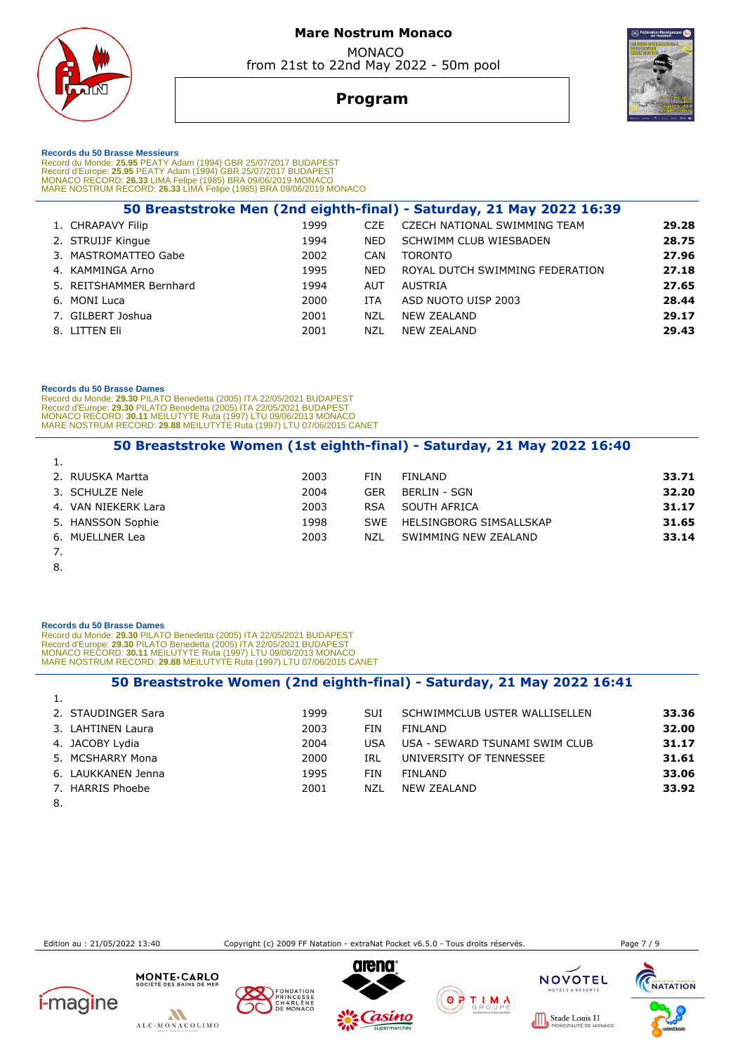

# **Mare Nostrum Monaco**  MONACO

from 21st to 22nd May 2022 - 50m pool

# **Program**



 **Records du 50 Brasse Messieurs** 

Record du Monde: 25.95 PEATY Adam (1994) GBR 25/07/2017 BUDAPEST<br>Record d'Europe: 25.95 PEATY Adam (1994) GBR 25/07/2017 BUDAPEST<br>MONACO RECORD: 26.33 LIMA Felipe (1998) BRA 09/06/2019 MONACO<br>MARE NOSTRUM RECORD: 26.33 LIM

|                         |      |            | 50 Breaststroke Men (2nd eighth-final) - Saturday, 21 May 2022 16:39 |       |
|-------------------------|------|------------|----------------------------------------------------------------------|-------|
| 1. CHRAPAVY Filip       | 1999 | CZE.       | CZECH NATIONAL SWIMMING TEAM                                         | 29.28 |
| 2. STRUIJF Kingue       | 1994 | <b>NED</b> | SCHWIMM CLUB WIESBADEN                                               | 28.75 |
| 3. MASTROMATTEO Gabe    | 2002 | <b>CAN</b> | <b>TORONTO</b>                                                       | 27.96 |
| 4. KAMMINGA Arno        | 1995 | <b>NED</b> | ROYAL DUTCH SWIMMING FEDERATION                                      | 27.18 |
| 5. REITSHAMMER Bernhard | 1994 | AUT        | AUSTRIA                                                              | 27.65 |
| 6. MONI Luca            | 2000 | ITA        | ASD NUOTO UISP 2003                                                  | 28.44 |
| 7. GILBERT Joshua       | 2001 | <b>NZL</b> | <b>NEW ZEALAND</b>                                                   | 29.17 |
| 8. LITTEN Eli           | 2001 | NZL        | <b>NEW ZEALAND</b>                                                   | 29.43 |

#### **Records du 50 Brasse Dames**

 Record du Monde: **29.30** PILATO Benedetta (2005) ITA 22/05/2021 BUDAPEST Record d'Europe: **29.30** PILATO Benedetta (2005) ITA 22/05/2021 BUDAPEST MONACO RECORD: **30.11** MEILUTYTE Ruta (1997) LTU 09/06/2013 MONACO MARE NOSTRUM RECORD: **29.88** MEILUTYTE Ruta (1997) LTU 07/06/2015 CANET

### **50 Breaststroke Women (1st eighth-final) - Saturday, 21 May 2022 16:40**

| 1.                  |      |            |                         |       |
|---------------------|------|------------|-------------------------|-------|
| 2. RUUSKA Martta    | 2003 | FIN        | FINLAND                 | 33.71 |
| 3. SCHULZE Nele     | 2004 | <b>GER</b> | BERLIN - SGN            | 32.20 |
| 4. VAN NIEKERK Lara | 2003 | <b>RSA</b> | SOUTH AFRICA            | 31.17 |
| 5. HANSSON Sophie   | 1998 | <b>SWF</b> | HELSINGBORG SIMSALLSKAP | 31.65 |
| 6. MUELLNER Lea     | 2003 | N71        | SWIMMING NEW ZEALAND    | 33.14 |
|                     |      |            |                         |       |

8.

### **Records du 50 Brasse Dames**

Record du Monde: **29.30** PILATO Benedetta (2005) ITA 22/05/2021 BUDAPEST<br>Record d'Europe: **29.30 PILATO Benedetta (2005) ITA 22/05/2021 BUDAPEST<br>MONACO RECORD: 30.11 MEILUTYTE Ruta (1997) LTU 09/06/2013 MONACO<br>MARE NOSTRUM** 

### **50 Breaststroke Women (2nd eighth-final) - Saturday, 21 May 2022 16:41**

| 1.                 |      |            |                                |       |
|--------------------|------|------------|--------------------------------|-------|
| 2. STAUDINGER Sara | 1999 | <b>SUI</b> | SCHWIMMCLUB USTER WALLISELLEN  | 33.36 |
| 3. LAHTINEN Laura  | 2003 | <b>FIN</b> | FINLAND                        | 32.00 |
| 4. JACOBY Lydia    | 2004 | USA        | USA - SEWARD TSUNAMI SWIM CLUB | 31.17 |
| 5. MCSHARRY Mona   | 2000 | IRL        | UNIVERSITY OF TENNESSEE        | 31.61 |
| 6. LAUKKANEN Jenna | 1995 | FIN        | FINLAND                        | 33.06 |
| 7. HARRIS Phoebe   | 2001 | NZL        | NEW ZEALAND                    | 33.92 |
| $\sim$             |      |            |                                |       |

8.

Edition au : 21/05/2022 13:40 Copyright (c) 2009 FF Natation - extraNat Pocket v6.5.0 - Tous droits réservés. Page 7 / 9



 $1000$ 













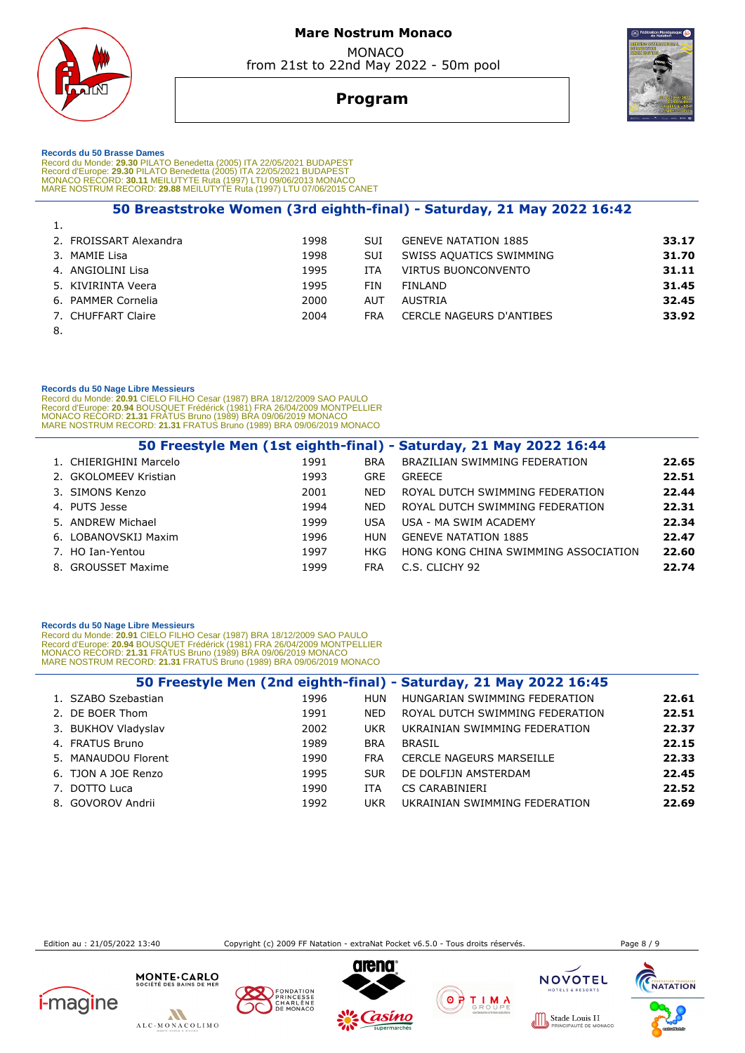

 MONACO from 21st to 22nd May 2022 - 50m pool



# **Program**



 **Records du 50 Brasse Dames** 

Record du Monde: 29.30 PILATO Benedetta (2005) ITA 22/05/2021 BUDAPEST<br>Record d'Europe: 29.30 PILATO Benedetta (2005) ITA 22/05/2021 BUDAPEST<br>MONACO RECORD: 30.11 MEILUTYTE Ruta (1997) LTU 09/06/2013 MONACO<br>MARE NOSTRUM RE

| 2. FROISSART Alexandra | 1998 | <b>SUI</b> | <b>GENEVE NATATION 1885</b>     | 33.17 |
|------------------------|------|------------|---------------------------------|-------|
| 3. MAMIE Lisa          | 1998 | SUI        | SWISS AQUATICS SWIMMING         | 31.70 |
| 4. ANGIOLINI Lisa      | 1995 | ITA        | <b>VIRTUS BUONCONVENTO</b>      | 31.11 |
| 5. KIVIRINTA Veera     | 1995 | <b>FIN</b> | FINLAND                         | 31.45 |
| 6. PAMMER Cornelia     | 2000 | <b>AUT</b> | AUSTRIA                         | 32.45 |
| 7. CHUFFART Claire     | 2004 | <b>FRA</b> | <b>CERCLE NAGEURS D'ANTIBES</b> | 33.92 |
| -8.                    |      |            |                                 |       |

1.

#### **Records du 50 Nage Libre Messieurs**

Record du Monde: **20.91** CIELO FILHO Cesar (1987) BRA 18/12/2009 SAO PAULO<br>Record d'Europe: 2**0.94** BOUSQUET Frédérick (1981) FRA 26/04/2009 MONTPELLIER<br>MONACO RECORD: **21.31** FRATUS Bruno (1989) BRA 09/06/2019 MONACO<br>MARE

|                        |      |            | 50 Freestyle Men (1st eighth-final) - Saturday, 21 May 2022 16:44 |       |
|------------------------|------|------------|-------------------------------------------------------------------|-------|
| 1. CHIERIGHINI Marcelo | 1991 | <b>BRA</b> | BRAZILIAN SWIMMING FEDERATION                                     | 22.65 |
| 2. GKOLOMEEV Kristian  | 1993 | <b>GRE</b> | <b>GREECE</b>                                                     | 22.51 |
| 3. SIMONS Kenzo        | 2001 | NFD.       | ROYAL DUTCH SWIMMING FEDERATION                                   | 22.44 |
| 4. PUTS Jesse          | 1994 | <b>NFD</b> | ROYAL DUTCH SWIMMING FEDERATION                                   | 22.31 |
| 5. ANDREW Michael      | 1999 | USA        | USA - MA SWIM ACADEMY                                             | 22.34 |
| 6. LOBANOVSKIJ Maxim   | 1996 | HUN        | <b>GENEVE NATATION 1885</b>                                       | 22.47 |
| 7. HO Ian-Yentou       | 1997 | HKG        | HONG KONG CHINA SWIMMING ASSOCIATION                              | 22.60 |
| 8. GROUSSET Maxime     | 1999 | <b>FRA</b> | C.S. CLICHY 92                                                    | 22.74 |
|                        |      |            |                                                                   |       |

#### **Records du 50 Nage Libre Messieurs**

Record du Monde: **20.91** CIELO FILHO Cesar (1987) BRA 18/12/2009 SAO PAULO<br>Record d'Europe: 2**0.94 B**OUSQUET Frédérick (1981) FRA 26/04/2009 MONTPELLIER<br>MONACO RECORD: 21.31 FRATUS Bruno (1989) BRA 09/06/2019 MONACO<br>MARE N

|                     |      |            | 50 Freestyle Men (2nd eighth-final) - Saturday, 21 May 2022 16:45 |       |
|---------------------|------|------------|-------------------------------------------------------------------|-------|
| 1. SZABO Szebastian | 1996 | HUN        | HUNGARIAN SWIMMING FEDERATION                                     | 22.61 |
| 2. DE BOER Thom     | 1991 | <b>NED</b> | ROYAL DUTCH SWIMMING FEDERATION                                   | 22.51 |
| 3. BUKHOV Vladyslav | 2002 | <b>UKR</b> | UKRAINIAN SWIMMING FEDERATION                                     | 22.37 |
| 4. FRATUS Bruno     | 1989 | <b>BRA</b> | BRASIL                                                            | 22.15 |
| 5. MANAUDOU Florent | 1990 | <b>FRA</b> | CERCLE NAGEURS MARSEILLE                                          | 22.33 |
| 6. TJON A JOE Renzo | 1995 | <b>SUR</b> | DE DOLFIJN AMSTERDAM                                              | 22.45 |
| 7. DOTTO Luca       | 1990 | ITA        | CS CARABINIERI                                                    | 22.52 |
| 8. GOVOROV Andrii   | 1992 | UKR        | UKRAINIAN SWIMMING FEDERATION                                     | 22.69 |

Edition au : 21/05/2022 13:40 Copyright (c) 2009 FF Natation - extraNat Pocket v6.5.0 - Tous droits réservés. Page 8 / 9